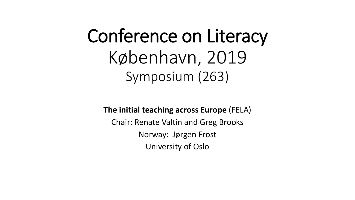# Conference on Literacy København, 2019 Symposium (263)

**The initial teaching across Europe** (FELA) Chair: Renate Valtin and Greg Brooks Norway: Jørgen Frost University of Oslo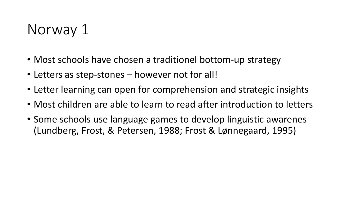### Norway 1

- Most schools have chosen a traditionel bottom-up strategy
- Letters as step-stones however not for all!
- Letter learning can open for comprehension and strategic insights
- Most children are able to learn to read after introduction to letters
- Some schools use language games to develop linguistic awarenes (Lundberg, Frost, & Petersen, 1988; Frost & Lønnegaard, 1995)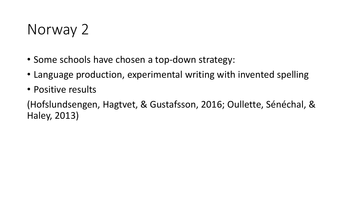### Norway 2

- Some schools have chosen a top-down strategy:
- Language production, experimental writing with invented spelling
- Positive results

(Hofslundsengen, Hagtvet, & Gustafsson, 2016; Oullette, Sénéchal, & Haley, 2013)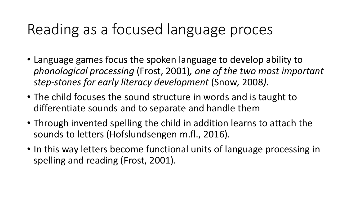### Reading as a focused language proces

- Language games focus the spoken language to develop ability to *phonological processing* (Frost, 2001)*, one of the two most important step-stones for early literacy development* (Snow*,* 2008*)*.
- The child focuses the sound structure in words and is taught to differentiate sounds and to separate and handle them
- Through invented spelling the child in addition learns to attach the sounds to letters (Hofslundsengen m.fl., 2016).
- In this way letters become functional units of language processing in spelling and reading (Frost, 2001).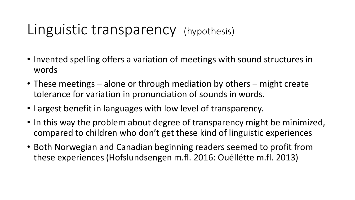#### Linguistic transparency (hypothesis)

- Invented spelling offers a variation of meetings with sound structures in words
- These meetings alone or through mediation by others might create tolerance for variation in pronunciation of sounds in words.
- Largest benefit in languages with low level of transparency.
- In this way the problem about degree of transparency might be minimized, compared to children who don't get these kind of linguistic experiences
- Both Norwegian and Canadian beginning readers seemed to profit from these experiences (Hofslundsengen m.fl. 2016: Ouéllétte m.fl. 2013)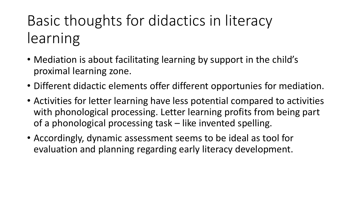## Basic thoughts for didactics in literacy learning

- Mediation is about facilitating learning by support in the child's proximal learning zone.
- Different didactic elements offer different opportunies for mediation.
- Activities for letter learning have less potential compared to activities with phonological processing. Letter learning profits from being part of a phonological processing task – like invented spelling.
- Accordingly, dynamic assessment seems to be ideal as tool for evaluation and planning regarding early literacy development.